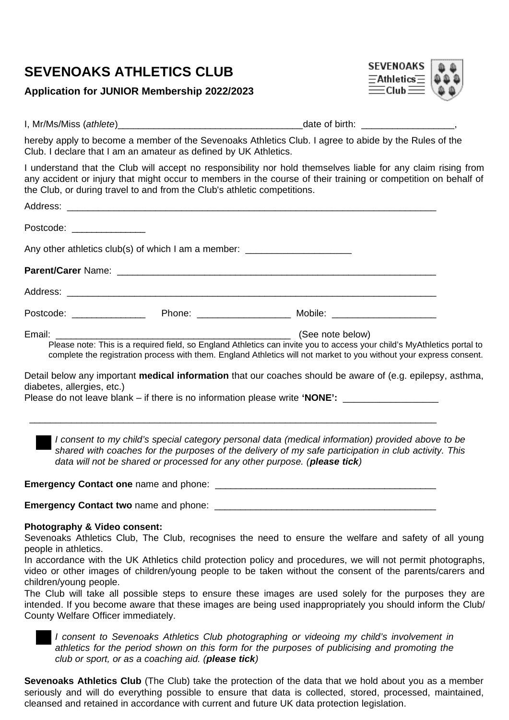### **Application for JUNIOR Membership 2022/2023**



I, Mr/Ms/Miss (*athlete*) and the contract of state of birth:  $\frac{1}{2}$  and  $\frac{1}{2}$  and  $\frac{1}{2}$  and  $\frac{1}{2}$  and  $\frac{1}{2}$  and  $\frac{1}{2}$  and  $\frac{1}{2}$  and  $\frac{1}{2}$  and  $\frac{1}{2}$  and  $\frac{1}{2}$  and  $\frac{1}{2}$  and  $\frac{1}{$ 

hereby apply to become a member of the Sevenoaks Athletics Club. I agree to abide by the Rules of the Club. I declare that I am an amateur as defined by UK Athletics.

I understand that the Club will accept no responsibility nor hold themselves liable for any claim rising from any accident or injury that might occur to members in the course of their training or competition on behalf of the Club, or during travel to and from the Club's athletic competitions.

| Postcode: _____________    |                                                                                  |                                                                                                                                                                                                                                                                    |  |
|----------------------------|----------------------------------------------------------------------------------|--------------------------------------------------------------------------------------------------------------------------------------------------------------------------------------------------------------------------------------------------------------------|--|
|                            | Any other athletics club(s) of which I am a member: ____________________________ |                                                                                                                                                                                                                                                                    |  |
|                            |                                                                                  |                                                                                                                                                                                                                                                                    |  |
|                            |                                                                                  |                                                                                                                                                                                                                                                                    |  |
|                            |                                                                                  |                                                                                                                                                                                                                                                                    |  |
| Email:                     |                                                                                  | (See note below)<br>Please note: This is a required field, so England Athletics can invite you to access your child's MyAthletics portal to<br>complete the registration process with them. England Athletics will not market to you without your express consent. |  |
| diabetes, allergies, etc.) |                                                                                  | Detail below any important <b>medical information</b> that our coaches should be aware of (e.g. epilepsy, asthma,                                                                                                                                                  |  |

Please do not leave blank – if there is no information please write **'NONE':** \_\_\_\_\_\_\_\_\_\_\_\_\_\_\_\_\_\_

 *I consent to my child's special category personal data (medical information) provided above to be shared with coaches for the purposes of the delivery of my safe participation in club activity. This data will not be shared or processed for any other purpose. (please tick)*

**Emergency Contact one** name and phone: \_\_\_\_\_\_\_\_\_\_\_\_\_\_\_\_\_\_\_\_\_\_\_\_\_\_\_\_\_\_\_\_\_\_\_\_\_\_\_\_\_\_\_

**Emergency Contact two** name and phone: **Emergency Contact two** name and phone:

### **Photography & Video consent:**

Sevenoaks Athletics Club, The Club, recognises the need to ensure the welfare and safety of all young people in athletics.

In accordance with the UK Athletics child protection policy and procedures, we will not permit photographs, video or other images of children/young people to be taken without the consent of the parents/carers and children/young people.

The Club will take all possible steps to ensure these images are used solely for the purposes they are intended. If you become aware that these images are being used inappropriately you should inform the Club/ County Welfare Officer immediately.



 *I consent to Sevenoaks Athletics Club photographing or videoing my child's involvement in athletics for the period shown on this form for the purposes of publicising and promoting the club or sport, or as a coaching aid. (please tick)*

**Sevenoaks Athletics Club** (The Club) take the protection of the data that we hold about you as a member seriously and will do everything possible to ensure that data is collected, stored, processed, maintained, cleansed and retained in accordance with current and future UK data protection legislation.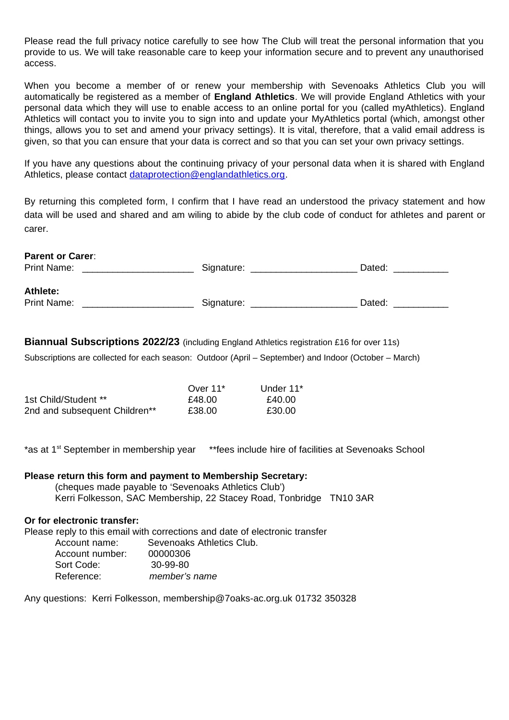Please read the full privacy notice carefully to see how The Club will treat the personal information that you provide to us. We will take reasonable care to keep your information secure and to prevent any unauthorised access.

When you become a member of or renew your membership with Sevenoaks Athletics Club you will automatically be registered as a member of **England Athletics**. We will provide England Athletics with your personal data which they will use to enable access to an online portal for you (called myAthletics). England Athletics will contact you to invite you to sign into and update your MyAthletics portal (which, amongst other things, allows you to set and amend your privacy settings). It is vital, therefore, that a valid email address is given, so that you can ensure that your data is correct and so that you can set your own privacy settings.

If you have any questions about the continuing privacy of your personal data when it is shared with England Athletics, please contact [dataprotection@englandathletics.org.](mailto:dataprotection@englandathletics.org)

By returning this completed form, I confirm that I have read an understood the privacy statement and how data will be used and shared and am wiling to abide by the club code of conduct for athletes and parent or carer.

| <b>Parent or Carer:</b> |            |        |  |  |
|-------------------------|------------|--------|--|--|
| Print Name:             | Signature: | Dated: |  |  |
| Athlete:                |            |        |  |  |
| Print Name:             | Signature: | Dated: |  |  |

**Biannual Subscriptions 2022/23** (including England Athletics registration £16 for over 11s)

Subscriptions are collected for each season: Outdoor (April – September) and Indoor (October – March)

|                               | Over $11^*$ | Under $11*$ |
|-------------------------------|-------------|-------------|
| 1st Child/Student **          | £48.00      | £40.00      |
| 2nd and subsequent Children** | £38.00      | £30.00      |

\*as at 1st September in membership year \*\*fees include hire of facilities at Sevenoaks School

**Please return this form and payment to Membership Secretary:** (cheques made payable to 'Sevenoaks Athletics Club') Kerri Folkesson, SAC Membership, 22 Stacey Road, Tonbridge TN10 3AR

#### **Or for electronic transfer:**

Please reply to this email with corrections and date of electronic transfer Account name: Sevenoaks Athletics Club. Account number: 00000306 Sort Code: 30-99-80

Reference: *member's name*

Any questions: Kerri Folkesson, membership@7oaks-ac.org.uk 01732 350328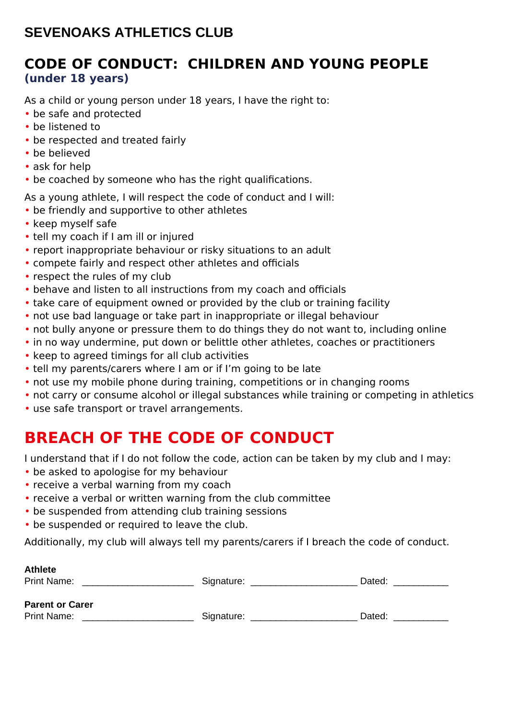### **CODE OF CONDUCT: CHILDREN AND YOUNG PEOPLE (under 18 years)**

As a child or young person under 18 years, I have the right to:

- be safe and protected
- be listened to
- be respected and treated fairly
- be believed
- ask for help
- be coached by someone who has the right qualifications.

As a young athlete, I will respect the code of conduct and I will:

- be friendly and supportive to other athletes
- keep myself safe
- tell my coach if I am ill or injured
- report inappropriate behaviour or risky situations to an adult
- compete fairly and respect other athletes and officials
- respect the rules of my club
- behave and listen to all instructions from my coach and officials
- take care of equipment owned or provided by the club or training facility
- not use bad language or take part in inappropriate or illegal behaviour
- not bully anyone or pressure them to do things they do not want to, including online
- in no way undermine, put down or belittle other athletes, coaches or practitioners
- keep to agreed timings for all club activities
- tell my parents/carers where I am or if I'm going to be late
- not use my mobile phone during training, competitions or in changing rooms
- not carry or consume alcohol or illegal substances while training or competing in athletics
- use safe transport or travel arrangements.

# **BREACH OF THE CODE OF CONDUCT**

I understand that if I do not follow the code, action can be taken by my club and I may:

- be asked to apologise for my behaviour
- receive a verbal warning from my coach
- receive a verbal or written warning from the club committee
- be suspended from attending club training sessions
- be suspended or required to leave the club.

Additionally, my club will always tell my parents/carers if I breach the code of conduct.

| <b>Athlete</b><br>Print Name: | Signature: | Dated: |
|-------------------------------|------------|--------|
| <b>Parent or Carer</b>        |            |        |
| Print Name:                   | Signature: | Dated: |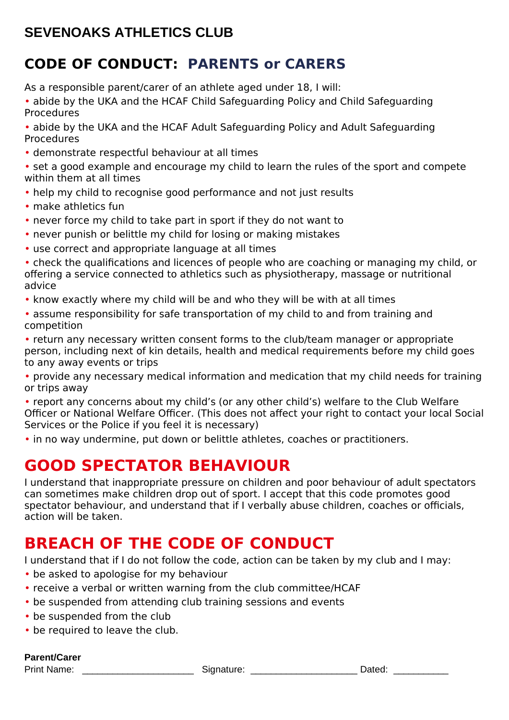## **CODE OF CONDUCT: PARENTS or CARERS**

As a responsible parent/carer of an athlete aged under 18, I will:

• abide by the UKA and the HCAF Child Safeguarding Policy and Child Safeguarding Procedures

• abide by the UKA and the HCAF Adult Safeguarding Policy and Adult Safeguarding Procedures

• demonstrate respectful behaviour at all times

• set a good example and encourage my child to learn the rules of the sport and compete within them at all times

- help my child to recognise good performance and not just results
- make athletics fun
- never force my child to take part in sport if they do not want to
- never punish or belittle my child for losing or making mistakes
- use correct and appropriate language at all times

• check the qualifications and licences of people who are coaching or managing my child, or offering a service connected to athletics such as physiotherapy, massage or nutritional advice

- know exactly where my child will be and who they will be with at all times
- assume responsibility for safe transportation of my child to and from training and competition

• return any necessary written consent forms to the club/team manager or appropriate person, including next of kin details, health and medical requirements before my child goes to any away events or trips

• provide any necessary medical information and medication that my child needs for training or trips away

• report any concerns about my child's (or any other child's) welfare to the Club Welfare Officer or National Welfare Officer. (This does not affect your right to contact your local Social Services or the Police if you feel it is necessary)

• in no way undermine, put down or belittle athletes, coaches or practitioners.

## **GOOD SPECTATOR BEHAVIOUR**

I understand that inappropriate pressure on children and poor behaviour of adult spectators can sometimes make children drop out of sport. I accept that this code promotes good spectator behaviour, and understand that if I verbally abuse children, coaches or officials, action will be taken.

# **BREACH OF THE CODE OF CONDUCT**

I understand that if I do not follow the code, action can be taken by my club and I may:

- be asked to apologise for my behaviour
- receive a verbal or written warning from the club committee/HCAF
- be suspended from attending club training sessions and events
- be suspended from the club
- be required to leave the club.

### **Parent/Carer**

Print Name: The Contract Contract Signature: The Contract Contract Dated:  $\Box$  Dated:  $\Box$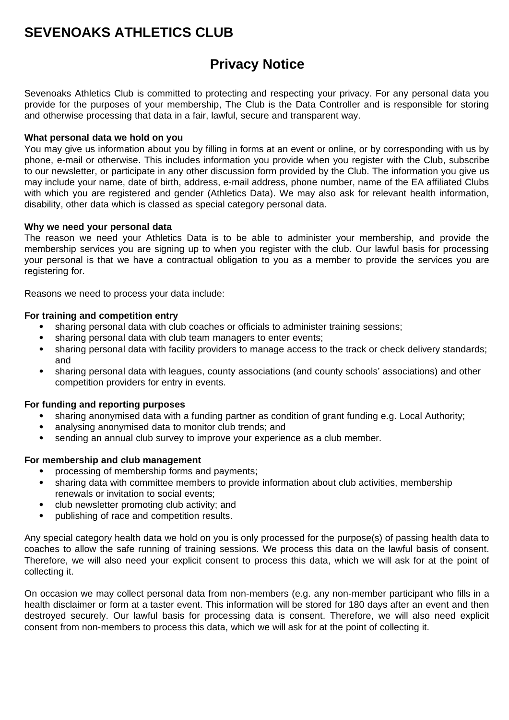### **Privacy Notice**

Sevenoaks Athletics Club is committed to protecting and respecting your privacy. For any personal data you provide for the purposes of your membership, The Club is the Data Controller and is responsible for storing and otherwise processing that data in a fair, lawful, secure and transparent way.

#### **What personal data we hold on you**

You may give us information about you by filling in forms at an event or online, or by corresponding with us by phone, e-mail or otherwise. This includes information you provide when you register with the Club, subscribe to our newsletter, or participate in any other discussion form provided by the Club. The information you give us may include your name, date of birth, address, e-mail address, phone number, name of the EA affiliated Clubs with which you are registered and gender (Athletics Data). We may also ask for relevant health information, disability, other data which is classed as special category personal data.

#### **Why we need your personal data**

The reason we need your Athletics Data is to be able to administer your membership, and provide the membership services you are signing up to when you register with the club. Our lawful basis for processing your personal is that we have a contractual obligation to you as a member to provide the services you are registering for.

Reasons we need to process your data include:

#### **For training and competition entry**

- sharing personal data with club coaches or officials to administer training sessions;
- sharing personal data with club team managers to enter events;
- sharing personal data with facility providers to manage access to the track or check delivery standards; and
- sharing personal data with leagues, county associations (and county schools' associations) and other competition providers for entry in events.

### **For funding and reporting purposes**

- sharing anonymised data with a funding partner as condition of grant funding e.g. Local Authority;
- analysing anonymised data to monitor club trends: and
- sending an annual club survey to improve your experience as a club member.

### **For membership and club management**

- processing of membership forms and payments;
- sharing data with committee members to provide information about club activities, membership renewals or invitation to social events;
- club newsletter promoting club activity; and
- publishing of race and competition results.

Any special category health data we hold on you is only processed for the purpose(s) of passing health data to coaches to allow the safe running of training sessions. We process this data on the lawful basis of consent. Therefore, we will also need your explicit consent to process this data, which we will ask for at the point of collecting it.

On occasion we may collect personal data from non-members (e.g. any non-member participant who fills in a health disclaimer or form at a taster event. This information will be stored for 180 days after an event and then destroyed securely. Our lawful basis for processing data is consent. Therefore, we will also need explicit consent from non-members to process this data, which we will ask for at the point of collecting it.